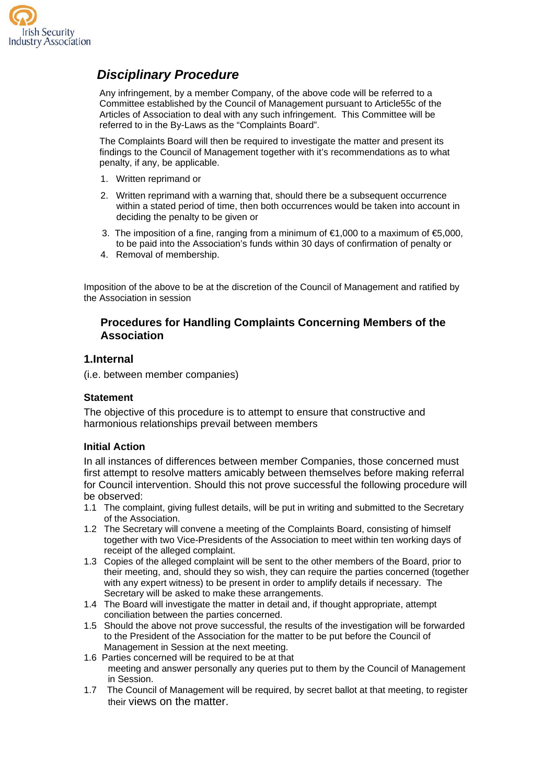

# *Disciplinary Procedure*

Any infringement, by a member Company, of the above code will be referred to a Committee established by the Council of Management pursuant to Article55c of the Articles of Association to deal with any such infringement. This Committee will be referred to in the By-Laws as the "Complaints Board".

The Complaints Board will then be required to investigate the matter and present its findings to the Council of Management together with it's recommendations as to what penalty, if any, be applicable.

- 1. Written reprimand or
- 2. Written reprimand with a warning that, should there be a subsequent occurrence within a stated period of time, then both occurrences would be taken into account in deciding the penalty to be given or
- 3. The imposition of a fine, ranging from a minimum of €1,000 to a maximum of €5,000. to be paid into the Association's funds within 30 days of confirmation of penalty or
- 4. Removal of membership.

Imposition of the above to be at the discretion of the Council of Management and ratified by the Association in session

### **Procedures for Handling Complaints Concerning Members of the Association**

#### **1.Internal**

(i.e. between member companies)

#### **Statement**

The objective of this procedure is to attempt to ensure that constructive and harmonious relationships prevail between members

#### **Initial Action**

In all instances of differences between member Companies, those concerned must first attempt to resolve matters amicably between themselves before making referral for Council intervention. Should this not prove successful the following procedure will be observed:

- 1.1 The complaint, giving fullest details, will be put in writing and submitted to the Secretary of the Association.
- 1.2 The Secretary will convene a meeting of the Complaints Board, consisting of himself together with two Vice-Presidents of the Association to meet within ten working days of receipt of the alleged complaint.
- 1.3 Copies of the alleged complaint will be sent to the other members of the Board, prior to their meeting, and, should they so wish, they can require the parties concerned (together with any expert witness) to be present in order to amplify details if necessary. The Secretary will be asked to make these arrangements.
- 1.4 The Board will investigate the matter in detail and, if thought appropriate, attempt conciliation between the parties concerned.
- 1.5 Should the above not prove successful, the results of the investigation will be forwarded to the President of the Association for the matter to be put before the Council of Management in Session at the next meeting.
- 1.6 Parties concerned will be required to be at that meeting and answer personally any queries put to them by the Council of Management in Session.
- 1.7 The Council of Management will be required, by secret ballot at that meeting, to register their views on the matter.